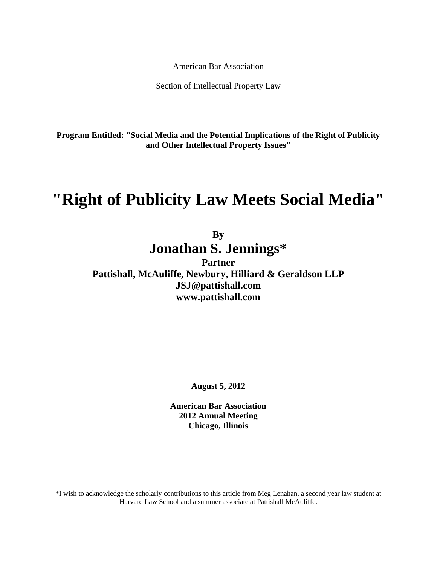American Bar Association

Section of Intellectual Property Law

**Program Entitled: "Social Media and the Potential Implications of the Right of Publicity and Other Intellectual Property Issues"** 

# **"Right of Publicity Law Meets Social Media"**

# **By Jonathan S. Jennings\***

**Partner Pattishall, McAuliffe, Newbury, Hilliard & Geraldson LLP JSJ@pattishall.com www.pattishall.com** 

**August 5, 2012** 

**American Bar Association 2012 Annual Meeting Chicago, Illinois** 

\*I wish to acknowledge the scholarly contributions to this article from Meg Lenahan, a second year law student at Harvard Law School and a summer associate at Pattishall McAuliffe.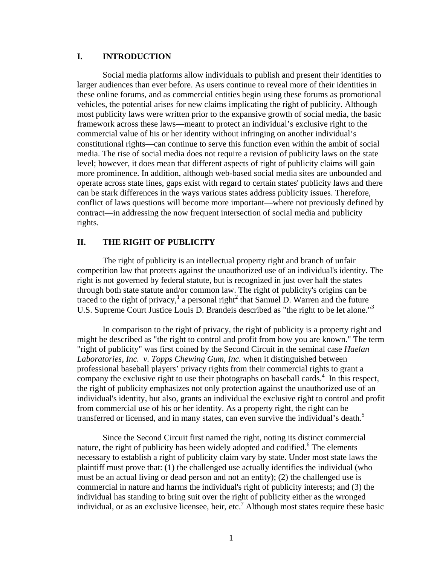# **I. INTRODUCTION**

 Social media platforms allow individuals to publish and present their identities to larger audiences than ever before. As users continue to reveal more of their identities in these online forums, and as commercial entities begin using these forums as promotional vehicles, the potential arises for new claims implicating the right of publicity. Although most publicity laws were written prior to the expansive growth of social media, the basic framework across these laws—meant to protect an individual's exclusive right to the commercial value of his or her identity without infringing on another individual's constitutional rights—can continue to serve this function even within the ambit of social media. The rise of social media does not require a revision of publicity laws on the state level; however, it does mean that different aspects of right of publicity claims will gain more prominence. In addition, although web-based social media sites are unbounded and operate across state lines, gaps exist with regard to certain states' publicity laws and there can be stark differences in the ways various states address publicity issues. Therefore, conflict of laws questions will become more important—where not previously defined by contract—in addressing the now frequent intersection of social media and publicity rights.

### **II. THE RIGHT OF PUBLICITY**

 The right of publicity is an intellectual property right and branch of unfair competition law that protects against the unauthorized use of an individual's identity. The right is not governed by federal statute, but is recognized in just over half the states through both state statute and/or common law. The right of publicity's origins can be traced to the right of privacy,<sup>1</sup> a personal right<sup>2</sup> that Samuel D. Warren and the future U.S. Supreme Court Justice Louis D. Brandeis described as "the right to be let alone."<sup>3</sup>

In comparison to the right of privacy, the right of publicity is a property right and might be described as "the right to control and profit from how you are known." The term "right of publicity" was first coined by the Second Circuit in the seminal case *Haelan Laboratories, Inc. v. Topps Chewing Gum, Inc.* when it distinguished between professional baseball players' privacy rights from their commercial rights to grant a company the exclusive right to use their photographs on baseball cards. $4\,$  In this respect, the right of publicity emphasizes not only protection against the unauthorized use of an individual's identity, but also, grants an individual the exclusive right to control and profit from commercial use of his or her identity. As a property right, the right can be transferred or licensed, and in many states, can even survive the individual's death.<sup>5</sup>

Since the Second Circuit first named the right, noting its distinct commercial nature, the right of publicity has been widely adopted and codified.<sup>6</sup> The elements necessary to establish a right of publicity claim vary by state. Under most state laws the plaintiff must prove that: (1) the challenged use actually identifies the individual (who must be an actual living or dead person and not an entity); (2) the challenged use is commercial in nature and harms the individual's right of publicity interests; and (3) the individual has standing to bring suit over the right of publicity either as the wronged individual, or as an exclusive licensee, heir, etc.<sup>7</sup> Although most states require these basic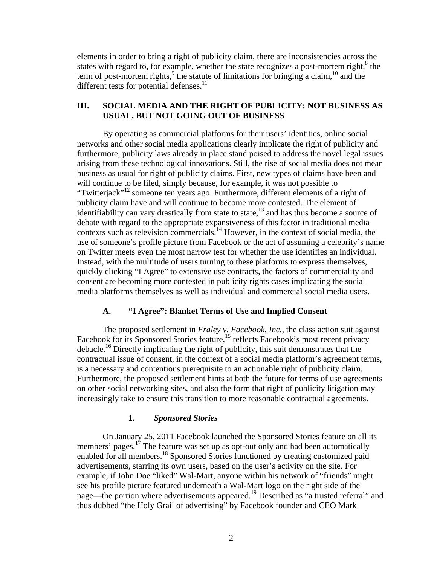elements in order to bring a right of publicity claim, there are inconsistencies across the states with regard to, for example, whether the state recognizes a post-mortem right, $8$  the term of post-mortem rights,  $9$  the statute of limitations for bringing a claim,  $10$  and the different tests for potential defenses. $<sup>11</sup>$ </sup>

# **III. SOCIAL MEDIA AND THE RIGHT OF PUBLICITY: NOT BUSINESS AS USUAL, BUT NOT GOING OUT OF BUSINESS**

By operating as commercial platforms for their users' identities, online social networks and other social media applications clearly implicate the right of publicity and furthermore, publicity laws already in place stand poised to address the novel legal issues arising from these technological innovations. Still, the rise of social media does not mean business as usual for right of publicity claims. First, new types of claims have been and will continue to be filed, simply because, for example, it was not possible to "Twitterjack"12 someone ten years ago. Furthermore, different elements of a right of publicity claim have and will continue to become more contested. The element of  $\frac{1}{2}$  identifiability can vary drastically from state to state,<sup>13</sup> and has thus become a source of debate with regard to the appropriate expansiveness of this factor in traditional media contexts such as television commercials.<sup>14</sup> However, in the context of social media, the use of someone's profile picture from Facebook or the act of assuming a celebrity's name on Twitter meets even the most narrow test for whether the use identifies an individual. Instead, with the multitude of users turning to these platforms to express themselves, quickly clicking "I Agree" to extensive use contracts, the factors of commerciality and consent are becoming more contested in publicity rights cases implicating the social media platforms themselves as well as individual and commercial social media users.

#### **A. "I Agree": Blanket Terms of Use and Implied Consent**

 The proposed settlement in *Fraley v. Facebook, Inc.*, the class action suit against Facebook for its Sponsored Stories feature,<sup>15</sup> reflects Facebook's most recent privacy debacle.<sup>16</sup> Directly implicating the right of publicity, this suit demonstrates that the contractual issue of consent, in the context of a social media platform's agreement terms, is a necessary and contentious prerequisite to an actionable right of publicity claim. Furthermore, the proposed settlement hints at both the future for terms of use agreements on other social networking sites, and also the form that right of publicity litigation may increasingly take to ensure this transition to more reasonable contractual agreements.

#### **1.** *Sponsored Stories*

On January 25, 2011 Facebook launched the Sponsored Stories feature on all its members' pages.<sup>17</sup> The feature was set up as opt-out only and had been automatically enabled for all members.18 Sponsored Stories functioned by creating customized paid advertisements, starring its own users, based on the user's activity on the site. For example, if John Doe "liked" Wal-Mart, anyone within his network of "friends" might see his profile picture featured underneath a Wal-Mart logo on the right side of the page—the portion where advertisements appeared.19 Described as "a trusted referral" and thus dubbed "the Holy Grail of advertising" by Facebook founder and CEO Mark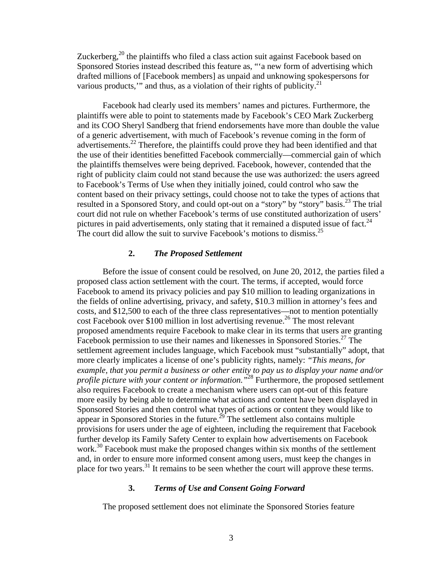Zuckerberg,<sup>20</sup> the plaintiffs who filed a class action suit against Facebook based on Sponsored Stories instead described this feature as, "'a new form of advertising which drafted millions of [Facebook members] as unpaid and unknowing spokespersons for various products," and thus, as a violation of their rights of publicity. $^{21}$ 

Facebook had clearly used its members' names and pictures. Furthermore, the plaintiffs were able to point to statements made by Facebook's CEO Mark Zuckerberg and its COO Sheryl Sandberg that friend endorsements have more than double the value of a generic advertisement, with much of Facebook's revenue coming in the form of advertisements.<sup>22</sup> Therefore, the plaintiffs could prove they had been identified and that the use of their identities benefitted Facebook commercially—commercial gain of which the plaintiffs themselves were being deprived. Facebook, however, contended that the right of publicity claim could not stand because the use was authorized: the users agreed to Facebook's Terms of Use when they initially joined, could control who saw the content based on their privacy settings, could choose not to take the types of actions that resulted in a Sponsored Story, and could opt-out on a "story" by "story" basis.<sup>23</sup> The trial court did not rule on whether Facebook's terms of use constituted authorization of users' pictures in paid advertisements, only stating that it remained a disputed issue of fact.<sup>24</sup> The court did allow the suit to survive Facebook's motions to dismiss.<sup>25</sup>

#### **2.** *The Proposed Settlement*

Before the issue of consent could be resolved, on June 20, 2012, the parties filed a proposed class action settlement with the court. The terms, if accepted, would force Facebook to amend its privacy policies and pay \$10 million to leading organizations in the fields of online advertising, privacy, and safety, \$10.3 million in attorney's fees and costs, and \$12,500 to each of the three class representatives—not to mention potentially cost Facebook over \$100 million in lost advertising revenue.<sup>26</sup> The most relevant proposed amendments require Facebook to make clear in its terms that users are granting Facebook permission to use their names and likenesses in Sponsored Stories.<sup>27</sup> The settlement agreement includes language, which Facebook must "substantially" adopt, that more clearly implicates a license of one's publicity rights, namely: *"This means, for example, that you permit a business or other entity to pay us to display your name and/or profile picture with your content or information.*<sup>28</sup> Furthermore, the proposed settlement also requires Facebook to create a mechanism where users can opt-out of this feature more easily by being able to determine what actions and content have been displayed in Sponsored Stories and then control what types of actions or content they would like to appear in Sponsored Stories in the future.<sup>29</sup> The settlement also contains multiple provisions for users under the age of eighteen, including the requirement that Facebook further develop its Family Safety Center to explain how advertisements on Facebook work.<sup>30</sup> Facebook must make the proposed changes within six months of the settlement and, in order to ensure more informed consent among users, must keep the changes in place for two years.<sup>31</sup> It remains to be seen whether the court will approve these terms.

#### **3.** *Terms of Use and Consent Going Forward*

The proposed settlement does not eliminate the Sponsored Stories feature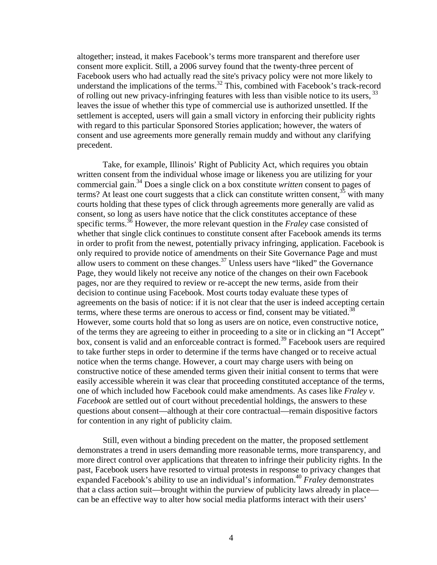altogether; instead, it makes Facebook's terms more transparent and therefore user consent more explicit. Still, a 2006 survey found that the twenty-three percent of Facebook users who had actually read the site's privacy policy were not more likely to understand the implications of the terms.<sup>32</sup> This, combined with Facebook's track-record of rolling out new privacy-infringing features with less than visible notice to its users, <sup>33</sup> leaves the issue of whether this type of commercial use is authorized unsettled. If the settlement is accepted, users will gain a small victory in enforcing their publicity rights with regard to this particular Sponsored Stories application; however, the waters of consent and use agreements more generally remain muddy and without any clarifying precedent.

Take, for example, Illinois' Right of Publicity Act, which requires you obtain written consent from the individual whose image or likeness you are utilizing for your commercial gain.34 Does a single click on a box constitute *written* consent to pages of terms? At least one court suggests that a click can constitute written consent,  $35\over{5}$  with many courts holding that these types of click through agreements more generally are valid as consent, so long as users have notice that the click constitutes acceptance of these specific terms.36 However, the more relevant question in the *Fraley* case consisted of whether that single click continues to constitute consent after Facebook amends its terms in order to profit from the newest, potentially privacy infringing, application. Facebook is only required to provide notice of amendments on their Site Governance Page and must allow users to comment on these changes.<sup>37</sup> Unless users have "liked" the Governance Page, they would likely not receive any notice of the changes on their own Facebook pages, nor are they required to review or re-accept the new terms, aside from their decision to continue using Facebook. Most courts today evaluate these types of agreements on the basis of notice: if it is not clear that the user is indeed accepting certain terms, where these terms are onerous to access or find, consent may be vitiated.<sup>38</sup> However, some courts hold that so long as users are on notice, even constructive notice, of the terms they are agreeing to either in proceeding to a site or in clicking an "I Accept" box, consent is valid and an enforceable contract is formed.<sup>39</sup> Facebook users are required to take further steps in order to determine if the terms have changed or to receive actual notice when the terms change. However, a court may charge users with being on constructive notice of these amended terms given their initial consent to terms that were easily accessible wherein it was clear that proceeding constituted acceptance of the terms, one of which included how Facebook could make amendments. As cases like *Fraley v. Facebook* are settled out of court without precedential holdings, the answers to these questions about consent—although at their core contractual—remain dispositive factors for contention in any right of publicity claim.

Still, even without a binding precedent on the matter, the proposed settlement demonstrates a trend in users demanding more reasonable terms, more transparency, and more direct control over applications that threaten to infringe their publicity rights. In the past, Facebook users have resorted to virtual protests in response to privacy changes that expanded Facebook's ability to use an individual's information.<sup>40</sup> *Fraley* demonstrates that a class action suit—brought within the purview of publicity laws already in place can be an effective way to alter how social media platforms interact with their users'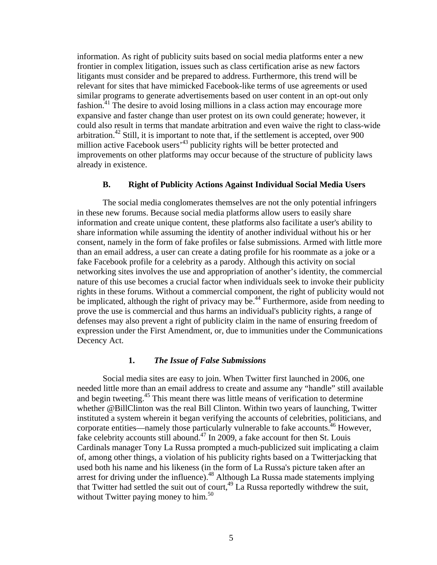information. As right of publicity suits based on social media platforms enter a new frontier in complex litigation, issues such as class certification arise as new factors litigants must consider and be prepared to address. Furthermore, this trend will be relevant for sites that have mimicked Facebook-like terms of use agreements or used similar programs to generate advertisements based on user content in an opt-out only fashion.<sup>41</sup> The desire to avoid losing millions in a class action may encourage more expansive and faster change than user protest on its own could generate; however, it could also result in terms that mandate arbitration and even waive the right to class-wide arbitration.<sup>42</sup> Still, it is important to note that, if the settlement is accepted, over 900 million active Facebook users<sup>43</sup> publicity rights will be better protected and improvements on other platforms may occur because of the structure of publicity laws already in existence.

# **B. Right of Publicity Actions Against Individual Social Media Users**

The social media conglomerates themselves are not the only potential infringers in these new forums. Because social media platforms allow users to easily share information and create unique content, these platforms also facilitate a user's ability to share information while assuming the identity of another individual without his or her consent, namely in the form of fake profiles or false submissions. Armed with little more than an email address, a user can create a dating profile for his roommate as a joke or a fake Facebook profile for a celebrity as a parody. Although this activity on social networking sites involves the use and appropriation of another's identity, the commercial nature of this use becomes a crucial factor when individuals seek to invoke their publicity rights in these forums. Without a commercial component, the right of publicity would not be implicated, although the right of privacy may be.<sup>44</sup> Furthermore, aside from needing to prove the use is commercial and thus harms an individual's publicity rights, a range of defenses may also prevent a right of publicity claim in the name of ensuring freedom of expression under the First Amendment, or, due to immunities under the Communications Decency Act.

#### **1.** *The Issue of False Submissions*

 Social media sites are easy to join. When Twitter first launched in 2006, one needed little more than an email address to create and assume any "handle" still available and begin tweeting.<sup>45</sup> This meant there was little means of verification to determine whether @BillClinton was the real Bill Clinton. Within two years of launching, Twitter instituted a system wherein it began verifying the accounts of celebrities, politicians, and corporate entities—namely those particularly vulnerable to fake accounts.<sup>46</sup> However, fake celebrity accounts still abound.<sup>47</sup> In 2009, a fake account for then St. Louis Cardinals manager Tony La Russa prompted a much-publicized suit implicating a claim of, among other things, a violation of his publicity rights based on a Twitterjacking that used both his name and his likeness (in the form of La Russa's picture taken after an arrest for driving under the influence).<sup>48</sup> Although La Russa made statements implying that Twitter had settled the suit out of court,  $^{49}$  La Russa reportedly withdrew the suit, without Twitter paying money to him.<sup>50</sup>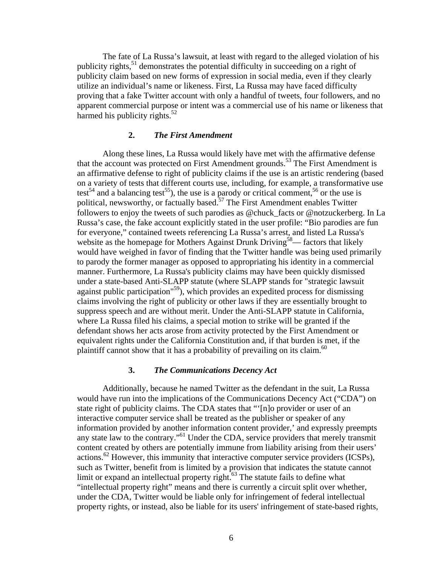The fate of La Russa's lawsuit, at least with regard to the alleged violation of his publicity rights,<sup>51</sup> demonstrates the potential difficulty in succeeding on a right of publicity claim based on new forms of expression in social media, even if they clearly utilize an individual's name or likeness. First, La Russa may have faced difficulty proving that a fake Twitter account with only a handful of tweets, four followers, and no apparent commercial purpose or intent was a commercial use of his name or likeness that harmed his publicity rights.<sup>52</sup>

# **2.** *The First Amendment*

Along these lines, La Russa would likely have met with the affirmative defense that the account was protected on First Amendment grounds.<sup>53</sup> The First Amendment is an affirmative defense to right of publicity claims if the use is an artistic rendering (based on a variety of tests that different courts use, including, for example, a transformative use test<sup>54</sup> and a balancing test<sup>55</sup>), the use is a parody or critical comment,<sup>56</sup> or the use is political, newsworthy, or factually based.<sup>57</sup> The First Amendment enables Twitter followers to enjoy the tweets of such parodies as @chuck\_facts or @notzuckerberg. In La Russa's case, the fake account explicitly stated in the user profile: "Bio parodies are fun for everyone," contained tweets referencing La Russa's arrest, and listed La Russa's website as the homepage for Mothers Against Drunk Driving<sup>58</sup>— factors that likely would have weighed in favor of finding that the Twitter handle was being used primarily to parody the former manager as opposed to appropriating his identity in a commercial manner. Furthermore, La Russa's publicity claims may have been quickly dismissed under a state-based Anti-SLAPP statute (where SLAPP stands for "strategic lawsuit against public participation<sup> $159$ </sup>), which provides an expedited process for dismissing claims involving the right of publicity or other laws if they are essentially brought to suppress speech and are without merit. Under the Anti-SLAPP statute in California, where La Russa filed his claims, a special motion to strike will be granted if the defendant shows her acts arose from activity protected by the First Amendment or equivalent rights under the California Constitution and, if that burden is met, if the plaintiff cannot show that it has a probability of prevailing on its claim.  $60$ 

## **3.** *The Communications Decency Act*

Additionally, because he named Twitter as the defendant in the suit, La Russa would have run into the implications of the Communications Decency Act ("CDA") on state right of publicity claims. The CDA states that "'[n]o provider or user of an interactive computer service shall be treated as the publisher or speaker of any information provided by another information content provider,' and expressly preempts any state law to the contrary."61 Under the CDA, service providers that merely transmit content created by others are potentially immune from liability arising from their users' actions.<sup>62</sup> However, this immunity that interactive computer service providers (ICSPs), such as Twitter, benefit from is limited by a provision that indicates the statute cannot limit or expand an intellectual property right.<sup>63</sup> The statute fails to define what "intellectual property right" means and there is currently a circuit split over whether, under the CDA, Twitter would be liable only for infringement of federal intellectual property rights, or instead, also be liable for its users' infringement of state-based rights,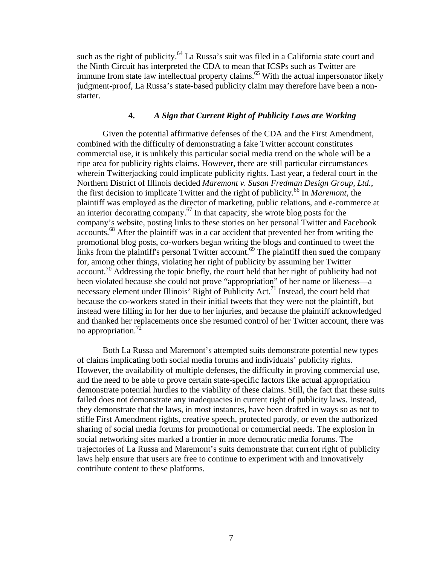such as the right of publicity.<sup>64</sup> La Russa's suit was filed in a California state court and the Ninth Circuit has interpreted the CDA to mean that ICSPs such as Twitter are immune from state law intellectual property claims.<sup>65</sup> With the actual impersonator likely judgment-proof, La Russa's state-based publicity claim may therefore have been a nonstarter.

# **4.** *A Sign that Current Right of Publicity Laws are Working*

Given the potential affirmative defenses of the CDA and the First Amendment, combined with the difficulty of demonstrating a fake Twitter account constitutes commercial use, it is unlikely this particular social media trend on the whole will be a ripe area for publicity rights claims. However, there are still particular circumstances wherein Twitterjacking could implicate publicity rights. Last year, a federal court in the Northern District of Illinois decided *Maremont v. Susan Fredman Design Group, Ltd.*, the first decision to implicate Twitter and the right of publicity.66 In *Maremont*, the plaintiff was employed as the director of marketing, public relations, and e-commerce at an interior decorating company.<sup>67</sup> In that capacity, she wrote blog posts for the company's website, posting links to these stories on her personal Twitter and Facebook accounts.68 After the plaintiff was in a car accident that prevented her from writing the promotional blog posts, co-workers began writing the blogs and continued to tweet the links from the plaintiff's personal Twitter account.<sup>69</sup> The plaintiff then sued the company for, among other things, violating her right of publicity by assuming her Twitter  $\alpha$  account.<sup>70</sup> Addressing the topic briefly, the court held that her right of publicity had not been violated because she could not prove "appropriation" of her name or likeness—a necessary element under Illinois' Right of Publicity Act.<sup>71</sup> Instead, the court held that because the co-workers stated in their initial tweets that they were not the plaintiff, but instead were filling in for her due to her injuries, and because the plaintiff acknowledged and thanked her replacements once she resumed control of her Twitter account, there was no appropriation.<sup>72</sup>

 Both La Russa and Maremont's attempted suits demonstrate potential new types of claims implicating both social media forums and individuals' publicity rights. However, the availability of multiple defenses, the difficulty in proving commercial use, and the need to be able to prove certain state-specific factors like actual appropriation demonstrate potential hurdles to the viability of these claims. Still, the fact that these suits failed does not demonstrate any inadequacies in current right of publicity laws. Instead, they demonstrate that the laws, in most instances, have been drafted in ways so as not to stifle First Amendment rights, creative speech, protected parody, or even the authorized sharing of social media forums for promotional or commercial needs. The explosion in social networking sites marked a frontier in more democratic media forums. The trajectories of La Russa and Maremont's suits demonstrate that current right of publicity laws help ensure that users are free to continue to experiment with and innovatively contribute content to these platforms.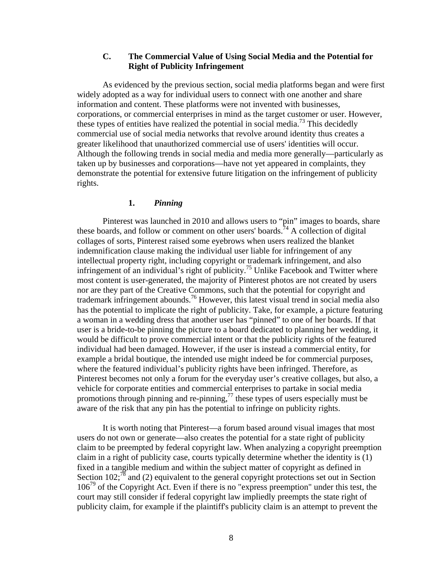# **C. The Commercial Value of Using Social Media and the Potential for Right of Publicity Infringement**

As evidenced by the previous section, social media platforms began and were first widely adopted as a way for individual users to connect with one another and share information and content. These platforms were not invented with businesses, corporations, or commercial enterprises in mind as the target customer or user. However, these types of entities have realized the potential in social media.<sup>73</sup> This decidedly commercial use of social media networks that revolve around identity thus creates a greater likelihood that unauthorized commercial use of users' identities will occur. Although the following trends in social media and media more generally—particularly as taken up by businesses and corporations—have not yet appeared in complaints, they demonstrate the potential for extensive future litigation on the infringement of publicity rights.

# **1.** *Pinning*

 Pinterest was launched in 2010 and allows users to "pin" images to boards, share these boards, and follow or comment on other users' boards.<sup>74</sup> A collection of digital collages of sorts, Pinterest raised some eyebrows when users realized the blanket indemnification clause making the individual user liable for infringement of any intellectual property right, including copyright or trademark infringement, and also infringement of an individual's right of publicity.<sup>75</sup> Unlike Facebook and Twitter where most content is user-generated, the majority of Pinterest photos are not created by users nor are they part of the Creative Commons, such that the potential for copyright and trademark infringement abounds.<sup>76</sup> However, this latest visual trend in social media also has the potential to implicate the right of publicity. Take, for example, a picture featuring a woman in a wedding dress that another user has "pinned" to one of her boards. If that user is a bride-to-be pinning the picture to a board dedicated to planning her wedding, it would be difficult to prove commercial intent or that the publicity rights of the featured individual had been damaged. However, if the user is instead a commercial entity, for example a bridal boutique, the intended use might indeed be for commercial purposes, where the featured individual's publicity rights have been infringed. Therefore, as Pinterest becomes not only a forum for the everyday user's creative collages, but also, a vehicle for corporate entities and commercial enterprises to partake in social media promotions through pinning and re-pinning, $\frac{77}{100}$  these types of users especially must be aware of the risk that any pin has the potential to infringe on publicity rights.

It is worth noting that Pinterest—a forum based around visual images that most users do not own or generate—also creates the potential for a state right of publicity claim to be preempted by federal copyright law. When analyzing a copyright preemption claim in a right of publicity case, courts typically determine whether the identity is (1) fixed in a tangible medium and within the subject matter of copyright as defined in Section 102;<sup>78</sup> and (2) equivalent to the general copyright protections set out in Section  $106^{79}$  of the Copyright Act. Even if there is no "express preemption" under this test, the court may still consider if federal copyright law impliedly preempts the state right of publicity claim, for example if the plaintiff's publicity claim is an attempt to prevent the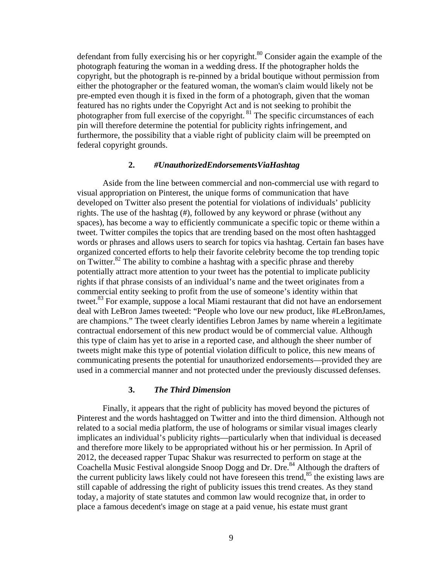defendant from fully exercising his or her copyright.<sup>80</sup> Consider again the example of the photograph featuring the woman in a wedding dress. If the photographer holds the copyright, but the photograph is re-pinned by a bridal boutique without permission from either the photographer or the featured woman, the woman's claim would likely not be pre-empted even though it is fixed in the form of a photograph, given that the woman featured has no rights under the Copyright Act and is not seeking to prohibit the photographer from full exercise of the copyright.<sup>81</sup> The specific circumstances of each pin will therefore determine the potential for publicity rights infringement, and furthermore, the possibility that a viable right of publicity claim will be preempted on federal copyright grounds.

#### **2.** *#UnauthorizedEndorsementsViaHashtag*

 Aside from the line between commercial and non-commercial use with regard to visual appropriation on Pinterest, the unique forms of communication that have developed on Twitter also present the potential for violations of individuals' publicity rights. The use of the hashtag (#), followed by any keyword or phrase (without any spaces), has become a way to efficiently communicate a specific topic or theme within a tweet. Twitter compiles the topics that are trending based on the most often hashtagged words or phrases and allows users to search for topics via hashtag. Certain fan bases have organized concerted efforts to help their favorite celebrity become the top trending topic on Twitter.<sup>82</sup> The ability to combine a hashtag with a specific phrase and thereby potentially attract more attention to your tweet has the potential to implicate publicity rights if that phrase consists of an individual's name and the tweet originates from a commercial entity seeking to profit from the use of someone's identity within that tweet.<sup>83</sup> For example, suppose a local Miami restaurant that did not have an endorsement deal with LeBron James tweeted: "People who love our new product, like #LeBronJames, are champions." The tweet clearly identifies Lebron James by name wherein a legitimate contractual endorsement of this new product would be of commercial value. Although this type of claim has yet to arise in a reported case, and although the sheer number of tweets might make this type of potential violation difficult to police, this new means of communicating presents the potential for unauthorized endorsements—provided they are used in a commercial manner and not protected under the previously discussed defenses.

#### **3.** *The Third Dimension*

 Finally, it appears that the right of publicity has moved beyond the pictures of Pinterest and the words hashtagged on Twitter and into the third dimension. Although not related to a social media platform, the use of holograms or similar visual images clearly implicates an individual's publicity rights—particularly when that individual is deceased and therefore more likely to be appropriated without his or her permission. In April of 2012, the deceased rapper Tupac Shakur was resurrected to perform on stage at the Coachella Music Festival alongside Snoop Dogg and Dr. Dre.<sup>84</sup> Although the drafters of the current publicity laws likely could not have foreseen this trend,<sup>85</sup> the existing laws are still capable of addressing the right of publicity issues this trend creates. As they stand today, a majority of state statutes and common law would recognize that, in order to place a famous decedent's image on stage at a paid venue, his estate must grant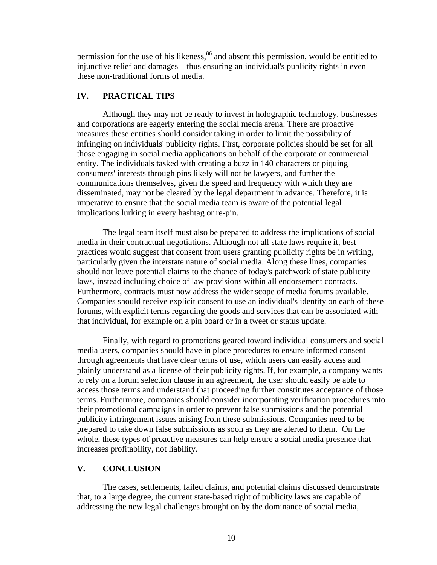permission for the use of his likeness,<sup>86</sup> and absent this permission, would be entitled to injunctive relief and damages—thus ensuring an individual's publicity rights in even these non-traditional forms of media.

# **IV. PRACTICAL TIPS**

 Although they may not be ready to invest in holographic technology, businesses and corporations are eagerly entering the social media arena. There are proactive measures these entities should consider taking in order to limit the possibility of infringing on individuals' publicity rights. First, corporate policies should be set for all those engaging in social media applications on behalf of the corporate or commercial entity. The individuals tasked with creating a buzz in 140 characters or piquing consumers' interests through pins likely will not be lawyers, and further the communications themselves, given the speed and frequency with which they are disseminated, may not be cleared by the legal department in advance. Therefore, it is imperative to ensure that the social media team is aware of the potential legal implications lurking in every hashtag or re-pin.

The legal team itself must also be prepared to address the implications of social media in their contractual negotiations. Although not all state laws require it, best practices would suggest that consent from users granting publicity rights be in writing, particularly given the interstate nature of social media. Along these lines, companies should not leave potential claims to the chance of today's patchwork of state publicity laws, instead including choice of law provisions within all endorsement contracts. Furthermore, contracts must now address the wider scope of media forums available. Companies should receive explicit consent to use an individual's identity on each of these forums, with explicit terms regarding the goods and services that can be associated with that individual, for example on a pin board or in a tweet or status update.

Finally, with regard to promotions geared toward individual consumers and social media users, companies should have in place procedures to ensure informed consent through agreements that have clear terms of use, which users can easily access and plainly understand as a license of their publicity rights. If, for example, a company wants to rely on a forum selection clause in an agreement, the user should easily be able to access those terms and understand that proceeding further constitutes acceptance of those terms. Furthermore, companies should consider incorporating verification procedures into their promotional campaigns in order to prevent false submissions and the potential publicity infringement issues arising from these submissions. Companies need to be prepared to take down false submissions as soon as they are alerted to them. On the whole, these types of proactive measures can help ensure a social media presence that increases profitability, not liability.

# **V. CONCLUSION**

 The cases, settlements, failed claims, and potential claims discussed demonstrate that, to a large degree, the current state-based right of publicity laws are capable of addressing the new legal challenges brought on by the dominance of social media,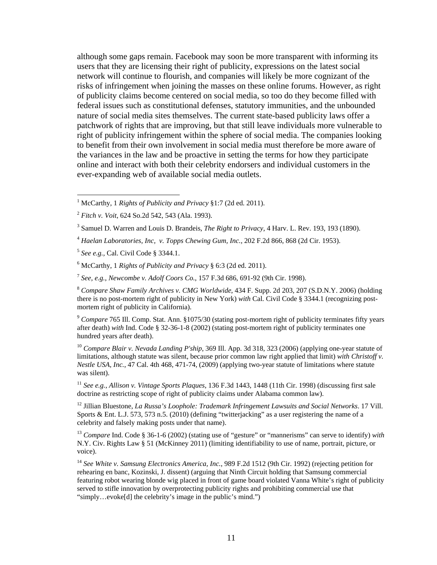although some gaps remain. Facebook may soon be more transparent with informing its users that they are licensing their right of publicity, expressions on the latest social network will continue to flourish, and companies will likely be more cognizant of the risks of infringement when joining the masses on these online forums. However, as right of publicity claims become centered on social media, so too do they become filled with federal issues such as constitutional defenses, statutory immunities, and the unbounded nature of social media sites themselves. The current state-based publicity laws offer a patchwork of rights that are improving, but that still leave individuals more vulnerable to right of publicity infringement within the sphere of social media. The companies looking to benefit from their own involvement in social media must therefore be more aware of the variances in the law and be proactive in setting the terms for how they participate online and interact with both their celebrity endorsers and individual customers in the ever-expanding web of available social media outlets.

 $\overline{a}$ 

<sup>8</sup> *Compare Shaw Family Archives v. CMG Worldwide*, 434 F. Supp. 2d 203, 207 (S.D.N.Y. 2006) (holding there is no post-mortem right of publicity in New York) *with* Cal. Civil Code § 3344.1 (recognizing postmortem right of publicity in California).

<sup>9</sup> *Compare* 765 Ill. Comp. Stat. Ann. §1075/30 (stating post-mortem right of publicity terminates fifty years after death) *with* Ind. Code § 32-36-1-8 (2002) (stating post-mortem right of publicity terminates one hundred years after death).

<sup>10</sup> Compare Blair v. Nevada Landing P'ship, 369 Ill. App. 3d 318, 323 (2006) (applying one-year statute of limitations, although statute was silent, because prior common law right applied that limit) *with Christoff v. Nestle USA, Inc.*, 47 Cal. 4th 468, 471-74, (2009) (applying two-year statute of limitations where statute was silent).

<sup>11</sup> *See e.g.*, *Allison v. Vintage Sports Plaques*, 136 F.3d 1443, 1448 (11th Cir. 1998) (discussing first sale doctrine as restricting scope of right of publicity claims under Alabama common law).

12 Jillian Bluestone, *La Russa's Loophole: Trademark Infringement Lawsuits and Social Networks*. 17 Vill. Sports & Ent. L.J. 573, 573 n.5. (2010) (defining "twitterjacking" as a user registering the name of a celebrity and falsely making posts under that name).

<sup>13</sup> *Compare* Ind. Code § 36-1-6 (2002) (stating use of "gesture" or "mannerisms" can serve to identify) *with* N.Y. Civ. Rights Law § 51 (McKinney 2011) (limiting identifiability to use of name, portrait, picture, or voice).

<sup>14</sup> *See White v. Samsung Electronics America, Inc.*, 989 F.2d 1512 (9th Cir. 1992) (rejecting petition for rehearing en banc, Kozinski, J. dissent) (arguing that Ninth Circuit holding that Samsung commercial featuring robot wearing blonde wig placed in front of game board violated Vanna White's right of publicity served to stifle innovation by overprotecting publicity rights and prohibiting commercial use that "simply…evoke[d] the celebrity's image in the public's mind.")

<sup>1</sup> McCarthy, 1 *Rights of Publicity and Privacy* §1:7 (2d ed. 2011).

<sup>2</sup> *Fitch v. Voit*, 624 So.2d 542, 543 (Ala. 1993).

<sup>3</sup> Samuel D. Warren and Louis D. Brandeis, *The Right to Privacy*, 4 Harv. L. Rev. 193, 193 (1890).

<sup>4</sup> *Haelan Laboratories, Inc, v. Topps Chewing Gum, Inc.,* 202 F.2d 866, 868 (2d Cir. 1953).

<sup>5</sup> *See e.g.,* Cal. Civil Code § 3344.1.

<sup>6</sup> McCarthy, 1 *Rights of Publicity and Privacy* § 6:3 (2d ed. 2011).

<sup>7</sup> *See, e.g.*, *Newcombe v. Adolf Coors Co.*, 157 F.3d 686, 691-92 (9th Cir. 1998).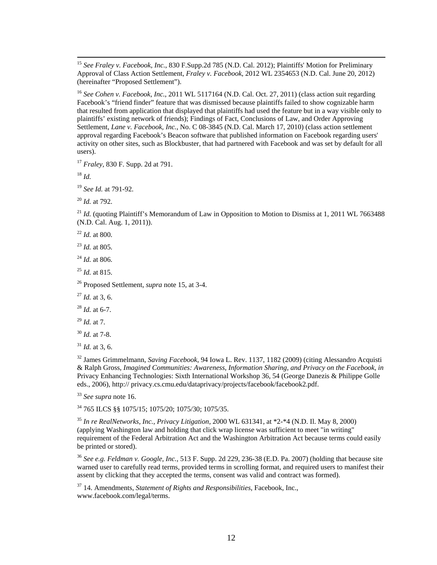15 *See Fraley v. Facebook*, *Inc.*, 830 F.Supp.2d 785 (N.D. Cal. 2012); Plaintiffs' Motion for Preliminary Approval of Class Action Settlement, *Fraley v. Facebook*, 2012 WL 2354653 (N.D. Cal. June 20, 2012) (hereinafter "Proposed Settlement").

<sup>16</sup> *See Cohen v. Facebook, Inc.*, 2011 WL 5117164 (N.D. Cal. Oct. 27, 2011) (class action suit regarding Facebook's "friend finder" feature that was dismissed because plaintiffs failed to show cognizable harm that resulted from application that displayed that plaintiffs had used the feature but in a way visible only to plaintiffs' existing network of friends); Findings of Fact, Conclusions of Law, and Order Approving Settlement, *Lane v. Facebook, Inc.*, No. C 08-3845 (N.D. Cal. March 17, 2010) (class action settlement approval regarding Facebook's Beacon software that published information on Facebook regarding users' activity on other sites, such as Blockbuster, that had partnered with Facebook and was set by default for all users).

<sup>17</sup> *Fraley*, 830 F. Supp. 2d at 791.

<sup>18</sup> *Id.*

<sup>19</sup> *See Id.* at 791-92.

<sup>20</sup> *Id.* at 792.

<sup>21</sup> *Id.* (quoting Plaintiff's Memorandum of Law in Opposition to Motion to Dismiss at 1, 2011 WL 7663488 (N.D. Cal. Aug. 1, 2011)).

<sup>22</sup> *Id.* at 800.

<sup>23</sup> *Id.* at 805.

<sup>24</sup> *Id.* at 806.

<sup>25</sup> *Id.* at 815.

26 Proposed Settlement, *supra* note 15, at 3-4.

<sup>27</sup> *Id.* at 3, 6.

<sup>28</sup> *Id.* at 6-7.

<sup>29</sup> *Id.* at 7.

<sup>30</sup> *Id.* at 7-8.

 $^{31}$  *Id.* at 3, 6.

32 James Grimmelmann, *Saving Facebook*, 94 Iowa L. Rev. 1137, 1182 (2009) (citing Alessandro Acquisti & Ralph Gross, *Imagined Communities: Awareness, Information Sharing, and Privacy on the Facebook, in*  Privacy Enhancing Technologies: Sixth International Workshop 36, 54 (George Danezis & Philippe Golle eds., 2006), http:// privacy.cs.cmu.edu/dataprivacy/projects/facebook/facebook2.pdf.

<sup>33</sup> *See supra* note 16.

34 765 ILCS §§ 1075/15; 1075/20; 1075/30; 1075/35.

<sup>35</sup> *In re RealNetworks, Inc., Privacy Litigation*, 2000 WL 631341, at \*2-\*4 (N.D. Il. May 8, 2000) (applying Washington law and holding that click wrap license was sufficient to meet "in writing" requirement of the Federal Arbitration Act and the Washington Arbitration Act because terms could easily be printed or stored).

<sup>36</sup> *See e.g. Feldman v. Google, Inc.*, 513 F. Supp. 2d 229, 236-38 (E.D. Pa. 2007) (holding that because site warned user to carefully read terms, provided terms in scrolling format, and required users to manifest their assent by clicking that they accepted the terms, consent was valid and contract was formed).

37 14. Amendments, *Statement of Rights and Responsibilities*, Facebook, Inc., www.facebook.com/legal/terms.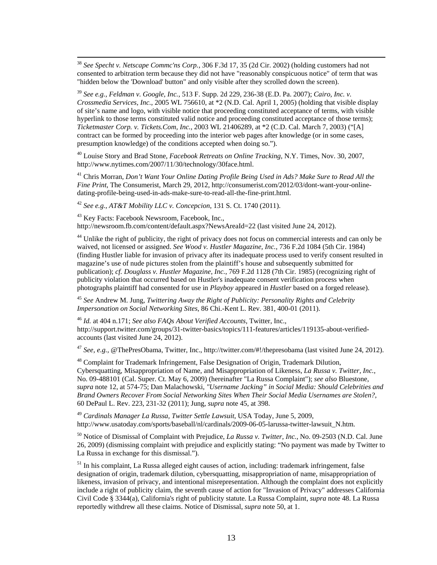38 *See Specht v. Netscape Commc'ns Corp.*, 306 F.3d 17, 35 (2d Cir. 2002) (holding customers had not consented to arbitration term because they did not have "reasonably conspicuous notice" of term that was "hidden below the 'Download' button" and only visible after they scrolled down the screen).

<sup>39</sup> *See e.g.*, *Feldman v. Google, Inc.*, 513 F. Supp. 2d 229, 236-38 (E.D. Pa. 2007); *Cairo, Inc. v. Crossmedia Services, Inc.*, 2005 WL 756610, at \*2 (N.D. Cal. April 1, 2005) (holding that visible display of site's name and logo, with visible notice that proceeding constituted acceptance of terms, with visible hyperlink to those terms constituted valid notice and proceeding constituted acceptance of those terms); *Ticketmaster Corp. v. Tickets.Com, Inc.*, 2003 WL 21406289, at \*2 (C.D. Cal. March 7, 2003) ("[A] contract can be formed by proceeding into the interior web pages after knowledge (or in some cases, presumption knowledge) of the conditions accepted when doing so.").

40 Louise Story and Brad Stone, *Facebook Retreats on Online Tracking*, N.Y. Times, Nov. 30, 2007, http://www.nytimes.com/2007/11/30/technology/30face.html.

41 Chris Morran, *Don't Want Your Online Dating Profile Being Used in Ads? Make Sure to Read All the Fine Print*, The Consumerist, March 29, 2012, http://consumerist.com/2012/03/dont-want-your-onlinedating-profile-being-used-in-ads-make-sure-to-read-all-the-fine-print.html.

<sup>42</sup> *See e.g., AT&T Mobility LLC v. Concepcion*, 131 S. Ct. 1740 (2011).

<sup>43</sup> Key Facts: Facebook Newsroom, Facebook, Inc., http://newsroom.fb.com/content/default.aspx?NewsAreaId=22 (last visited June 24, 2012).

<sup>44</sup> Unlike the right of publicity, the right of privacy does not focus on commercial interests and can only be waived, not licensed or assigned. *See Wood v. Hustler Magazine, Inc.*, 736 F.2d 1084 (5th Cir. 1984) (finding Hustler liable for invasion of privacy after its inadequate process used to verify consent resulted in magazine's use of nude pictures stolen from the plaintiff's house and subsequently submitted for publication); *cf. Douglass v. Hustler Magazine, Inc.*, 769 F.2d 1128 (7th Cir. 1985) (recognizing right of publicity violation that occurred based on Hustler's inadequate consent verification process when photographs plaintiff had consented for use in *Playboy* appeared in *Hustler* based on a forged release).

<sup>45</sup> *See* Andrew M. Jung, *Twittering Away the Right of Publicity: Personality Rights and Celebrity Impersonation on Social Networking Sites*, 86 Chi.-Kent L. Rev. 381, 400-01 (2011).

<sup>46</sup> *Id.* at 404 n.171; *See also FAQs About Verified Accounts*, Twitter, Inc., http://support.twitter.com/groups/31-twitter-basics/topics/111-features/articles/119135-about-verifiedaccounts (last visited June 24, 2012).

<sup>47</sup> *See, e.g.,* @ThePresObama, Twitter, Inc., http://twitter.com/#!/thepresobama (last visited June 24, 2012).

48 Complaint for Trademark Infringement, False Designation of Origin, Trademark Dilution, Cybersquatting, Misappropriation of Name, and Misappropriation of Likeness, *La Russa v. Twitter, Inc.*, No. 09-488101 (Cal. Super. Ct. May 6, 2009) (hereinafter "La Russa Complaint"); *see also* Bluestone, *supra* note 12, at 574-75; Dan Malachowski, *"Username Jacking" in Social Media: Should Celebrities and Brand Owners Recover From Social Networking Sites When Their Social Media Usernames are Stolen?*, 60 DePaul L. Rev. 223, 231-32 (2011); Jung, *supra* note 45, at 398.

<sup>49</sup> *Cardinals Manager La Russa, Twitter Settle Lawsuit*, USA Today, June 5, 2009, http://www.usatoday.com/sports/baseball/nl/cardinals/2009-06-05-larussa-twitter-lawsuit\_N.htm.

50 Notice of Dismissal of Complaint with Prejudice, *La Russa v. Twitter, Inc.*, No. 09-2503 (N.D. Cal. June 26, 2009) (dismissing complaint with prejudice and explicitly stating: "No payment was made by Twitter to La Russa in exchange for this dismissal.").

 $<sup>51</sup>$  In his complaint, La Russa alleged eight causes of action, including: trademark infringement, false</sup> designation of origin, trademark dilution, cybersquatting, misappropriation of name, misappropriation of likeness, invasion of privacy, and intentional misrepresentation. Although the complaint does not explicitly include a right of publicity claim, the seventh cause of action for "Invasion of Privacy" addresses California Civil Code § 3344(a), California's right of publicity statute. La Russa Complaint, *supra* note 48. La Russa reportedly withdrew all these claims. Notice of Dismissal, *supra* note 50, at 1.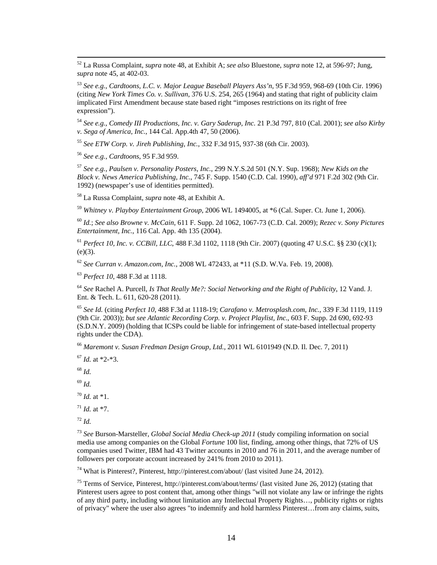52 La Russa Complaint, *supra* note 48, at Exhibit A; *see also* Bluestone, *supra* note 12, at 596-97; Jung, *supra* note 45, at 402-03.

<sup>53</sup> *See e.g., Cardtoons, L.C. v. Major League Baseball Players Ass'n*, 95 F.3d 959, 968-69 (10th Cir. 1996) (citing *New York Times Co. v. Sullivan*, 376 U.S. 254, 265 (1964) and stating that right of publicity claim implicated First Amendment because state based right "imposes restrictions on its right of free expression").

<sup>54</sup> *See e.g., Comedy III Productions, Inc. v. Gary Saderup, Inc.* 21 P.3d 797, 810 (Cal. 2001); *see also Kirby v. Sega of America, Inc.*, 144 Cal. App.4th 47, 50 (2006).

<sup>55</sup> *See ETW Corp. v. Jireh Publishing, Inc.*, 332 F.3d 915, 937-38 (6th Cir. 2003).

<sup>56</sup> *See e.g., Cardtoons*, 95 F.3d 959.

<sup>57</sup> *See e.g., Paulsen v. Personality Posters, Inc.*, 299 N.Y.S.2d 501 (N.Y. Sup. 1968); *New Kids on the Block v. News America Publishing, Inc.*, 745 F. Supp. 1540 (C.D. Cal. 1990), *aff'd* 971 F.2d 302 (9th Cir. 1992) (newspaper's use of identities permitted).

58 La Russa Complaint, *supra* note 48, at Exhibit A.

<sup>59</sup> *Whitney v. Playboy Entertainment Group*, 2006 WL 1494005, at \*6 (Cal. Super. Ct. June 1, 2006).

<sup>60</sup> *Id.*; *See also Browne v. McCain*, 611 F. Supp. 2d 1062, 1067-73 (C.D. Cal. 2009); *Rezec v. Sony Pictures Entertainment, Inc.*, 116 Cal. App. 4th 135 (2004).

<sup>61</sup> *Perfect 10, Inc. v. CCBill, LLC*, 488 F.3d 1102, 1118 (9th Cir. 2007) (quoting 47 U.S.C. §§ 230 (c)(1);  $(e)(3)$ .

<sup>62</sup> *See Curran v. Amazon.com, Inc.*, 2008 WL 472433, at \*11 (S.D. W.Va. Feb. 19, 2008).

<sup>63</sup> *Perfect 10*, 488 F.3d at 1118.

<sup>64</sup> *See* Rachel A. Purcell, *Is That Really Me?: Social Networking and the Right of Publicity*, 12 Vand. J. Ent. & Tech. L. 611, 620-28 (2011).

<sup>65</sup> *See Id.* (citing *Perfect 10*, 488 F.3d at 1118-19; *Carafano v. Metrosplash.com, Inc.*, 339 F.3d 1119, 1119 (9th Cir. 2003)); *but see Atlantic Recording Corp. v. Project Playlist, Inc.*, 603 F. Supp. 2d 690, 692-93 (S.D.N.Y. 2009) (holding that ICSPs could be liable for infringement of state-based intellectual property rights under the CDA).

<sup>66</sup> *Maremont v. Susan Fredman Design Group, Ltd.*, 2011 WL 6101949 (N.D. Il. Dec. 7, 2011)

<sup>67</sup> *Id.* at \*2-\*3.

<sup>68</sup> *Id.*

<sup>69</sup> *Id.*

 $70$  *Id.* at \*1.

 $^{71}$  *Id.* at \*7.

 $^{72}$  *Id.* 

<sup>73</sup> *See* Burson-Marsteller, *Global Social Media Check-up 2011* (study compiling information on social media use among companies on the Global *Fortune* 100 list, finding, among other things, that 72% of US companies used Twitter, IBM had 43 Twitter accounts in 2010 and 76 in 2011, and the average number of followers per corporate account increased by 241% from 2010 to 2011).

 $74$  What is Pinterest?, Pinterest, http://pinterest.com/about/ (last visited June 24, 2012).

75 Terms of Service, Pinterest, http://pinterest.com/about/terms/ (last visited June 26, 2012) (stating that Pinterest users agree to post content that, among other things "will not violate any law or infringe the rights of any third party, including without limitation any Intellectual Property Rights…, publicity rights or rights of privacy" where the user also agrees "to indemnify and hold harmless Pinterest…from any claims, suits,